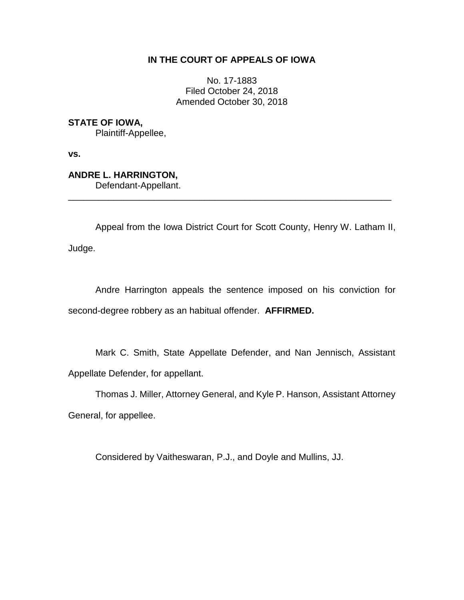## **IN THE COURT OF APPEALS OF IOWA**

No. 17-1883 Filed October 24, 2018 Amended October 30, 2018

**STATE OF IOWA,**

Plaintiff-Appellee,

**vs.**

## **ANDRE L. HARRINGTON,**

Defendant-Appellant.

Appeal from the Iowa District Court for Scott County, Henry W. Latham II,

\_\_\_\_\_\_\_\_\_\_\_\_\_\_\_\_\_\_\_\_\_\_\_\_\_\_\_\_\_\_\_\_\_\_\_\_\_\_\_\_\_\_\_\_\_\_\_\_\_\_\_\_\_\_\_\_\_\_\_\_\_\_\_\_

Judge.

Andre Harrington appeals the sentence imposed on his conviction for second-degree robbery as an habitual offender. **AFFIRMED.**

Mark C. Smith, State Appellate Defender, and Nan Jennisch, Assistant Appellate Defender, for appellant.

Thomas J. Miller, Attorney General, and Kyle P. Hanson, Assistant Attorney General, for appellee.

Considered by Vaitheswaran, P.J., and Doyle and Mullins, JJ.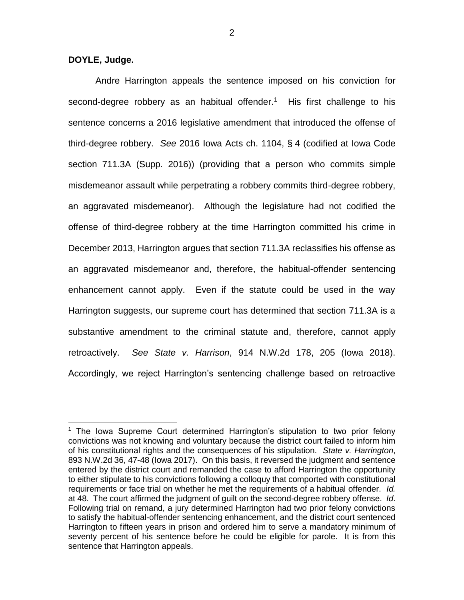**DOYLE, Judge.**

 $\overline{a}$ 

Andre Harrington appeals the sentence imposed on his conviction for second-degree robbery as an habitual offender.<sup>1</sup> His first challenge to his sentence concerns a 2016 legislative amendment that introduced the offense of third-degree robbery. *See* 2016 Iowa Acts ch. 1104, § 4 (codified at Iowa Code section 711.3A (Supp. 2016)) (providing that a person who commits simple misdemeanor assault while perpetrating a robbery commits third-degree robbery, an aggravated misdemeanor). Although the legislature had not codified the offense of third-degree robbery at the time Harrington committed his crime in December 2013, Harrington argues that section 711.3A reclassifies his offense as an aggravated misdemeanor and, therefore, the habitual-offender sentencing enhancement cannot apply. Even if the statute could be used in the way Harrington suggests, our supreme court has determined that section 711.3A is a substantive amendment to the criminal statute and, therefore, cannot apply retroactively. *See State v. Harrison*, 914 N.W.2d 178, 205 (Iowa 2018). Accordingly, we reject Harrington's sentencing challenge based on retroactive

<sup>1</sup> The Iowa Supreme Court determined Harrington's stipulation to two prior felony convictions was not knowing and voluntary because the district court failed to inform him of his constitutional rights and the consequences of his stipulation. *State v. Harrington*, 893 N.W.2d 36, 47-48 (Iowa 2017). On this basis, it reversed the judgment and sentence entered by the district court and remanded the case to afford Harrington the opportunity to either stipulate to his convictions following a colloquy that comported with constitutional requirements or face trial on whether he met the requirements of a habitual offender. *Id.* at 48. The court affirmed the judgment of guilt on the second-degree robbery offense. *Id*. Following trial on remand, a jury determined Harrington had two prior felony convictions to satisfy the habitual-offender sentencing enhancement, and the district court sentenced Harrington to fifteen years in prison and ordered him to serve a mandatory minimum of seventy percent of his sentence before he could be eligible for parole. It is from this sentence that Harrington appeals.